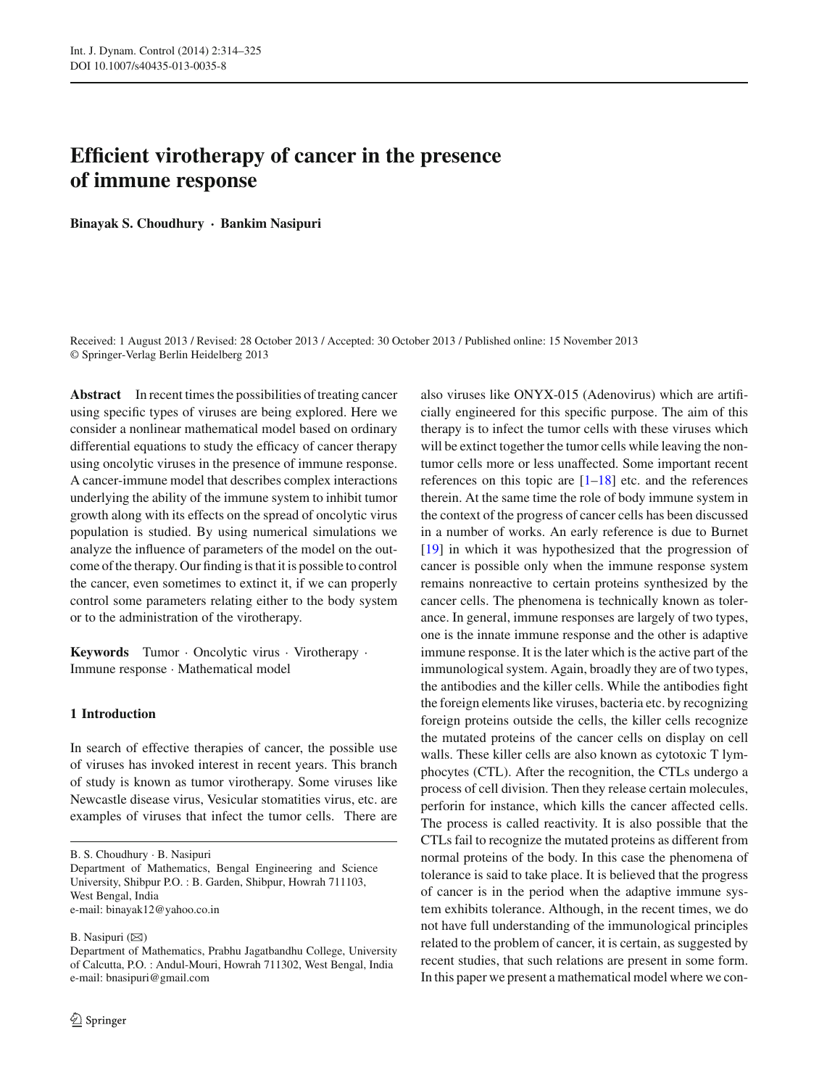# **Efficient virotherapy of cancer in the presence of immune response**

**Binayak S. Choudhury · Bankim Nasipuri**

Received: 1 August 2013 / Revised: 28 October 2013 / Accepted: 30 October 2013 / Published online: 15 November 2013 © Springer-Verlag Berlin Heidelberg 2013

**Abstract** In recent times the possibilities of treating cancer using specific types of viruses are being explored. Here we consider a nonlinear mathematical model based on ordinary differential equations to study the efficacy of cancer therapy using oncolytic viruses in the presence of immune response. A cancer-immune model that describes complex interactions underlying the ability of the immune system to inhibit tumor growth along with its effects on the spread of oncolytic virus population is studied. By using numerical simulations we analyze the influence of parameters of the model on the outcome of the therapy. Our finding is that it is possible to control the cancer, even sometimes to extinct it, if we can properly control some parameters relating either to the body system or to the administration of the virotherapy.

**Keywords** Tumor · Oncolytic virus · Virotherapy · Immune response · Mathematical model

## **1 Introduction**

In search of effective therapies of cancer, the possible use of viruses has invoked interest in recent years. This branch of study is known as tumor virotherapy. Some viruses like Newcastle disease virus, Vesicular stomatities virus, etc. are examples of viruses that infect the tumor cells. There are

e-mail: binayak12@yahoo.co.in

B. Nasipuri  $(\boxtimes)$ 

also viruses like ONYX-015 (Adenovirus) which are artificially engineered for this specific purpose. The aim of this therapy is to infect the tumor cells with these viruses which will be extinct together the tumor cells while leaving the nontumor cells more or less unaffected. Some important recent references on this topic are  $[1-18]$  $[1-18]$  etc. and the references therein. At the same time the role of body immune system in the context of the progress of cancer cells has been discussed in a number of works. An early reference is due to Burnet [\[19](#page-10-2)] in which it was hypothesized that the progression of cancer is possible only when the immune response system remains nonreactive to certain proteins synthesized by the cancer cells. The phenomena is technically known as tolerance. In general, immune responses are largely of two types, one is the innate immune response and the other is adaptive immune response. It is the later which is the active part of the immunological system. Again, broadly they are of two types, the antibodies and the killer cells. While the antibodies fight the foreign elements like viruses, bacteria etc. by recognizing foreign proteins outside the cells, the killer cells recognize the mutated proteins of the cancer cells on display on cell walls. These killer cells are also known as cytotoxic T lymphocytes (CTL). After the recognition, the CTLs undergo a process of cell division. Then they release certain molecules, perforin for instance, which kills the cancer affected cells. The process is called reactivity. It is also possible that the CTLs fail to recognize the mutated proteins as different from normal proteins of the body. In this case the phenomena of tolerance is said to take place. It is believed that the progress of cancer is in the period when the adaptive immune system exhibits tolerance. Although, in the recent times, we do not have full understanding of the immunological principles related to the problem of cancer, it is certain, as suggested by recent studies, that such relations are present in some form. In this paper we present a mathematical model where we con-

B. S. Choudhury · B. Nasipuri

Department of Mathematics, Bengal Engineering and Science University, Shibpur P.O. : B. Garden, Shibpur, Howrah 711103, West Bengal, India

Department of Mathematics, Prabhu Jagatbandhu College, University of Calcutta, P.O. : Andul-Mouri, Howrah 711302, West Bengal, India e-mail: bnasipuri@gmail.com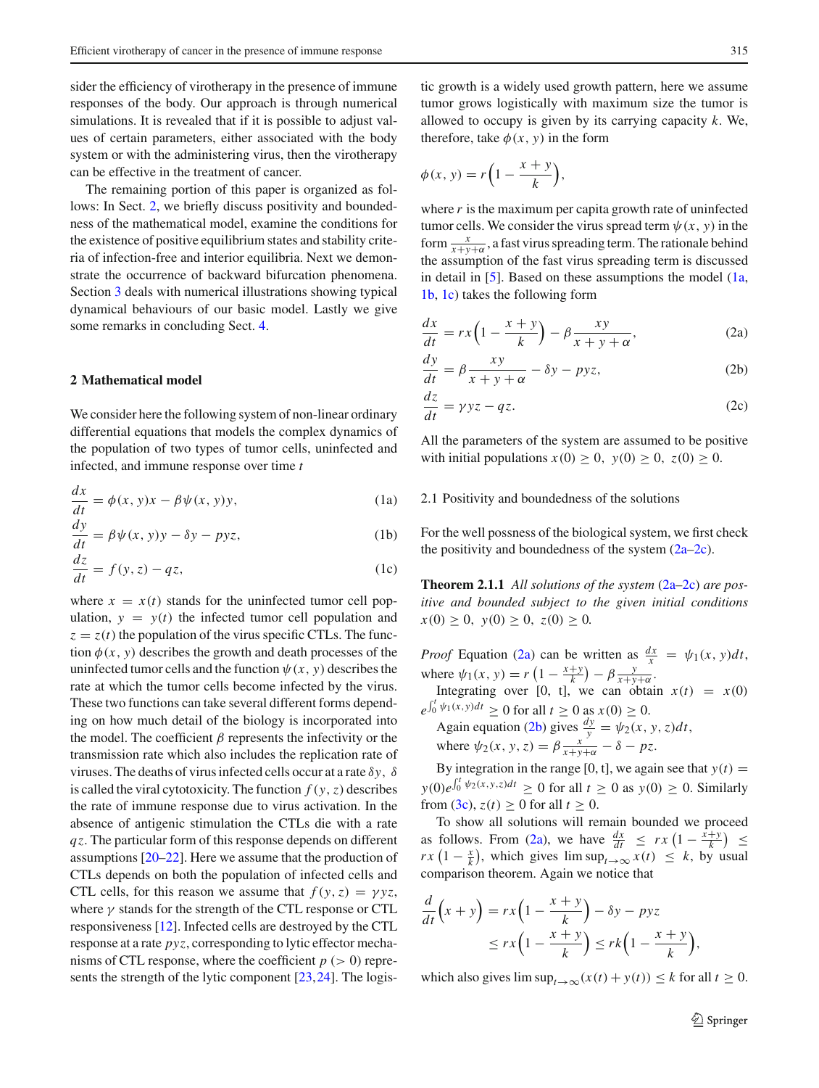sider the efficiency of virotherapy in the presence of immune responses of the body. Our approach is through numerical simulations. It is revealed that if it is possible to adjust values of certain parameters, either associated with the body system or with the administering virus, then the virotherapy can be effective in the treatment of cancer.

The remaining portion of this paper is organized as follows: In Sect. [2,](#page-1-0) we briefly discuss positivity and boundedness of the mathematical model, examine the conditions for the existence of positive equilibrium states and stability criteria of infection-free and interior equilibria. Next we demonstrate the occurrence of backward bifurcation phenomena. Section [3](#page-5-0) deals with numerical illustrations showing typical dynamical behaviours of our basic model. Lastly we give some remarks in concluding Sect. [4.](#page-9-0)

## <span id="page-1-0"></span>**2 Mathematical model**

We consider here the following system of non-linear ordinary differential equations that models the complex dynamics of the population of two types of tumor cells, uninfected and infected, and immune response over time *t*

<span id="page-1-1"></span>
$$
\frac{dx}{dt} = \phi(x, y)x - \beta \psi(x, y)y,
$$
 (1a)

$$
\frac{dy}{dt} = \beta \psi(x, y)y - \delta y - pyz,
$$
 (1b)

$$
\frac{dz}{dt} = f(y, z) - qz,\tag{1c}
$$

where  $x = x(t)$  stands for the uninfected tumor cell population,  $y = y(t)$  the infected tumor cell population and  $z = z(t)$  the population of the virus specific CTLs. The function  $\phi(x, y)$  describes the growth and death processes of the uninfected tumor cells and the function  $\psi(x, y)$  describes the rate at which the tumor cells become infected by the virus. These two functions can take several different forms depending on how much detail of the biology is incorporated into the model. The coefficient  $\beta$  represents the infectivity or the transmission rate which also includes the replication rate of viruses. The deaths of virus infected cells occur at a rate δ*y*, δ is called the viral cytotoxicity. The function  $f(y, z)$  describes the rate of immune response due to virus activation. In the absence of antigenic stimulation the CTLs die with a rate *qz*. The particular form of this response depends on different assumptions [\[20](#page-10-3)[–22\]](#page-11-0). Here we assume that the production of CTLs depends on both the population of infected cells and CTL cells, for this reason we assume that  $f(y, z) = \gamma yz$ , where  $\gamma$  stands for the strength of the CTL response or CTL responsiveness [\[12\]](#page-10-4). Infected cells are destroyed by the CTL response at a rate *pyz*, corresponding to lytic effector mechanisms of CTL response, where the coefficient  $p (> 0)$  repre-sents the strength of the lytic component [\[23](#page-11-1), [24](#page-11-2)]. The logistic growth is a widely used growth pattern, here we assume tumor grows logistically with maximum size the tumor is allowed to occupy is given by its carrying capacity *k*. We, therefore, take  $\phi(x, y)$  in the form

$$
\phi(x, y) = r\left(1 - \frac{x + y}{k}\right),
$$

where  $r$  is the maximum per capita growth rate of uninfected tumor cells. We consider the virus spread term  $\psi(x, y)$  in the form  $\frac{x}{x+y+\alpha}$ , a fast virus spreading term. The rationale behind the assumption of the fast virus spreading term is discussed in detail in  $[5]$  $[5]$ . Based on these assumptions the model  $(1a,$ [1b,](#page-1-1) [1c\)](#page-1-1) takes the following form

<span id="page-1-2"></span>
$$
\frac{dx}{dt} = rx\left(1 - \frac{x+y}{k}\right) - \beta \frac{xy}{x+y+\alpha},\tag{2a}
$$

$$
\frac{dy}{dt} = \beta \frac{xy}{x+y+\alpha} - \delta y - pyz,\tag{2b}
$$

$$
\frac{dz}{dt} = \gamma yz - qz.
$$
 (2c)

All the parameters of the system are assumed to be positive with initial populations  $x(0) \ge 0$ ,  $y(0) \ge 0$ ,  $z(0) \ge 0$ .

## 2.1 Positivity and boundedness of the solutions

For the well possness of the biological system, we first check the positivity and boundedness of the system  $(2a-2c)$ .

**Theorem 2.1.1** *All solutions of the system* [\(2a–2c\)](#page-1-2) *are positive and bounded subject to the given initial conditions*  $x(0) \geq 0$ ,  $y(0) \geq 0$ ,  $z(0) \geq 0$ .

*Proof* Equation [\(2a\)](#page-1-2) can be written as  $\frac{dx}{x} = \psi_1(x, y)dt$ , where  $\psi_1(x, y) = r\left(1 - \frac{x + y}{k}\right) - \beta \frac{y}{x + y + \alpha}$ .

Integrating over [0, t], we can obtain  $x(t) = x(0)$  $e^{\int_0^t \psi_1(x, y) dt} \ge 0$  for all  $t \ge 0$  as  $x(0) \ge 0$ .

Again equation [\(2b\)](#page-1-2) gives  $\frac{dy}{y} = \psi_2(x, y, z)dt$ , where  $\psi_2(x, y, z) = \beta \frac{x^2}{x + y + \alpha} - \delta - pz$ .

By integration in the range [0, t], we again see that  $y(t) =$  $y(0)e^{\int_0^t \psi_2(x,y,z)dt} \ge 0$  for all  $t \ge 0$  as  $y(0) \ge 0$ . Similarly from [\(3c\)](#page-10-6),  $z(t) > 0$  for all  $t > 0$ .

To show all solutions will remain bounded we proceed as follows. From [\(2a\)](#page-1-2), we have  $\frac{dx}{dt} \leq rx \left(1 - \frac{\hat{x} + \hat{y}}{k}\right) \leq$  $rx(1-\frac{x}{k})$ , which gives  $\limsup_{t\to\infty} x(t) \leq k$ , by usual comparison theorem. Again we notice that

$$
\frac{d}{dt}\left(x+y\right) = rx\left(1-\frac{x+y}{k}\right) - \delta y - pyz
$$
\n
$$
\leq rx\left(1-\frac{x+y}{k}\right) \leq rk\left(1-\frac{x+y}{k}\right),
$$

which also gives  $\limsup_{t\to\infty} (x(t) + y(t)) \leq k$  for all  $t \geq 0$ .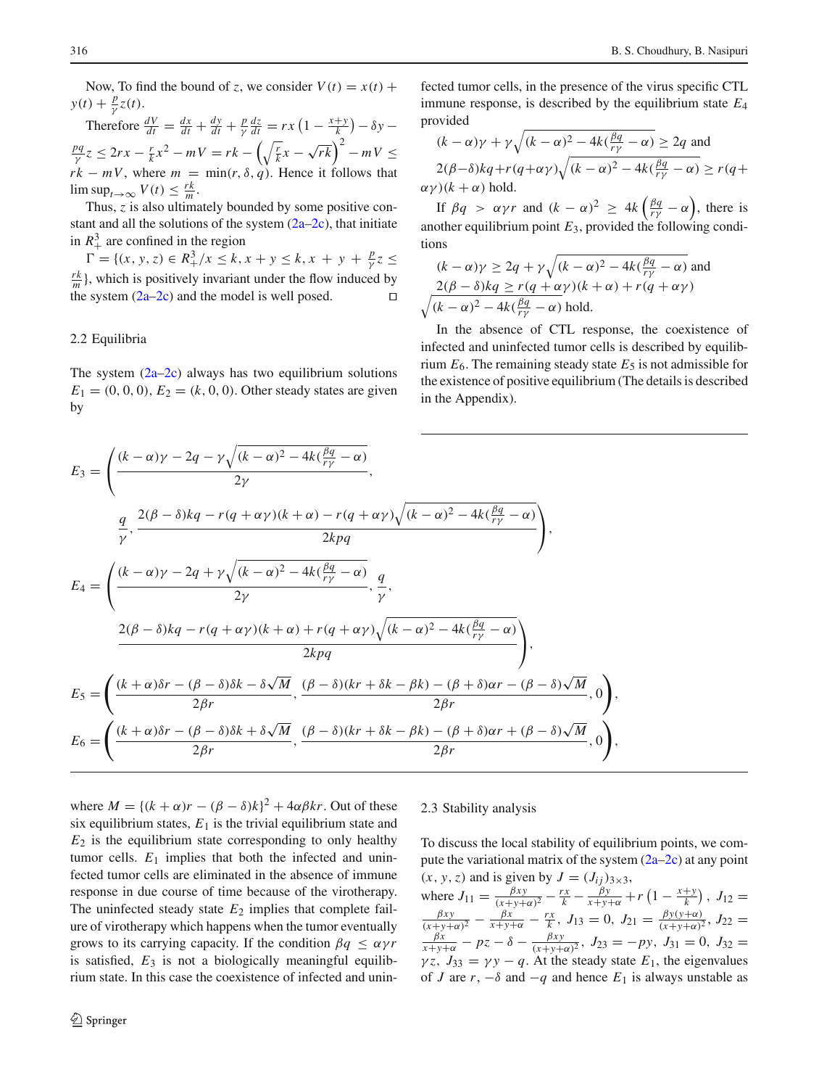Now, To find the bound of *z*, we consider  $V(t) = x(t) +$  $y(t) + \frac{p}{\gamma}z(t)$ .

Therefore  $\frac{dV}{dt} = \frac{dx}{dt} + \frac{dy}{dt} + \frac{p}{\gamma} \frac{dz}{dt} = rx\left(1 - \frac{x+y}{k}\right) - \delta y \frac{pq}{\gamma}z \le 2rx - \frac{r}{k}x^2 - mV = rk - \left(\sqrt{\frac{r}{k}}x - \sqrt{rk}\right)^2 - mV \le$  $r k - m V$ , where  $m = \min(r, \delta, q)$ . Hence it follows that  $\limsup_{t\to\infty} V(t) \leq \frac{rk}{m}$ .

Thus, *z* is also ultimately bounded by some positive constant and all the solutions of the system  $(2a-2c)$ , that initiate in  $R_+^3$  are confined in the region

 $\Gamma = \{(x, y, z) \in R^3_+ / x \leq k, x + y \leq k, x + y + \frac{p}{\gamma}z \leq k\}$  $\frac{rk}{m}$ }, which is positively invariant under the flow induced by the system  $(2a-2c)$  and the model is well posed.

#### <span id="page-2-0"></span>2.2 Equilibria

The system  $(2a-2c)$  always has two equilibrium solutions  $E_1 = (0, 0, 0), E_2 = (k, 0, 0)$ . Other steady states are given by

fected tumor cells, in the presence of the virus specific CTL immune response, is described by the equilibrium state *E*<sup>4</sup> provided

$$
(k - \alpha)\gamma + \gamma \sqrt{(k - \alpha)^2 - 4k(\frac{\beta q}{r\gamma} - \alpha)} \ge 2q \text{ and}
$$
  
2(\beta - \delta)kq + r(q + \alpha\gamma)\sqrt{(k - \alpha)^2 - 4k(\frac{\beta q}{r\gamma} - \alpha)} \ge r(q + \alpha\gamma)(k + \alpha) \text{ hold.}

If  $\beta q > \alpha \gamma r$  and  $(k - \alpha)^2 \geq 4k \left( \frac{\beta q}{r\gamma} - \alpha \right)$ , there is another equilibrium point *E*3, provided the following conditions

$$
(k - \alpha)\gamma \ge 2q + \gamma \sqrt{(k - \alpha)^2 - 4k(\frac{\beta q}{r\gamma} - \alpha)}
$$
 and  
 
$$
\frac{2(\beta - \delta)kq \ge r(q + \alpha \gamma)(k + \alpha) + r(q + \alpha \gamma)}{\sqrt{(k - \alpha)^2 - 4k(\frac{\beta q}{r\gamma} - \alpha)}
$$
 hold.

In the absence of CTL response, the coexistence of infected and uninfected tumor cells is described by equilibrium  $E_6$ . The remaining steady state  $E_5$  is not admissible for the existence of positive equilibrium (The details is described in the Appendix).

$$
E_3 = \left(\frac{(k-\alpha)\gamma - 2q - \gamma\sqrt{(k-\alpha)^2 - 4k(\frac{\beta q}{r\gamma} - \alpha)}}{2\gamma}, \frac{q}{\gamma}, \frac{2(\beta-\delta)kq - r(q+\alpha\gamma)(k+\alpha) - r(q+\alpha\gamma)\sqrt{(k-\alpha)^2 - 4k(\frac{\beta q}{r\gamma} - \alpha)}}{2kpq}\right),
$$
  
\n
$$
E_4 = \left(\frac{(k-\alpha)\gamma - 2q + \gamma\sqrt{(k-\alpha)^2 - 4k(\frac{\beta q}{r\gamma} - \alpha)}}{2\gamma}, \frac{q}{\gamma}, \frac{2(\beta-\delta)kq - r(q+\alpha\gamma)(k+\alpha) + r(q+\alpha\gamma)\sqrt{(k-\alpha)^2 - 4k(\frac{\beta q}{r\gamma} - \alpha)}}{2kpq}\right),
$$
  
\n
$$
E_5 = \left(\frac{(k+\alpha)\delta r - (\beta-\delta)\delta k - \delta\sqrt{M}}{2\beta r}, \frac{(\beta-\delta)(kr+\delta k - \beta k) - (\beta+\delta)\alpha r - (\beta-\delta)\sqrt{M}}{2\beta r}, 0\right),
$$
  
\n
$$
E_6 = \left(\frac{(k+\alpha)\delta r - (\beta-\delta)\delta k + \delta\sqrt{M}}{2\beta r}, \frac{(\beta-\delta)(kr+\delta k - \beta k) - (\beta+\delta)\alpha r + (\beta-\delta)\sqrt{M}}{2\beta r}, 0\right),
$$

٦

where  $M = \{(k + \alpha)r - (\beta - \delta)k\}^2 + 4\alpha\beta kr$ . Out of these six equilibrium states,  $E_1$  is the trivial equilibrium state and  $E_2$  is the equilibrium state corresponding to only healthy tumor cells.  $E_1$  implies that both the infected and uninfected tumor cells are eliminated in the absence of immune response in due course of time because of the virotherapy. The uninfected steady state  $E_2$  implies that complete failure of virotherapy which happens when the tumor eventually grows to its carrying capacity. If the condition  $\beta q \leq \alpha \gamma r$ is satisfied,  $E_3$  is not a biologically meaningful equilibrium state. In this case the coexistence of infected and unin-

# 2.3 Stability analysis

To discuss the local stability of equilibrium points, we compute the variational matrix of the system  $(2a-2c)$  at any point  $(x, y, z)$  and is given by  $J = (J_{ij})_{3 \times 3}$ ,

where  $J_{11} = \frac{\beta xy}{(x+y+\alpha)^2} - \frac{rx}{k} - \frac{\beta y}{x+y+\alpha} + r\left(1 - \frac{x+y}{k}\right)$ ,  $J_{12} =$  $\frac{\beta xy}{(x+y+\alpha)^2} - \frac{\beta x}{x+y+\alpha} - \frac{rx}{k}, J_{13} = 0, J_{21} = \frac{\beta y(y+\alpha)}{(x+y+\alpha)^2}, J_{22} =$  $\frac{\beta x}{x+y+\alpha} - pz - \delta - \frac{\beta xy}{(x+y+\alpha)^2}$ ,  $J_{23} = -py$ ,  $J_{31} = 0$ ,  $J_{32} =$  $\gamma z$ ,  $J_{33} = \gamma y - q$ . At the steady state  $E_1$ , the eigenvalues of *J* are  $r$ ,  $-\delta$  and  $-q$  and hence  $E_1$  is always unstable as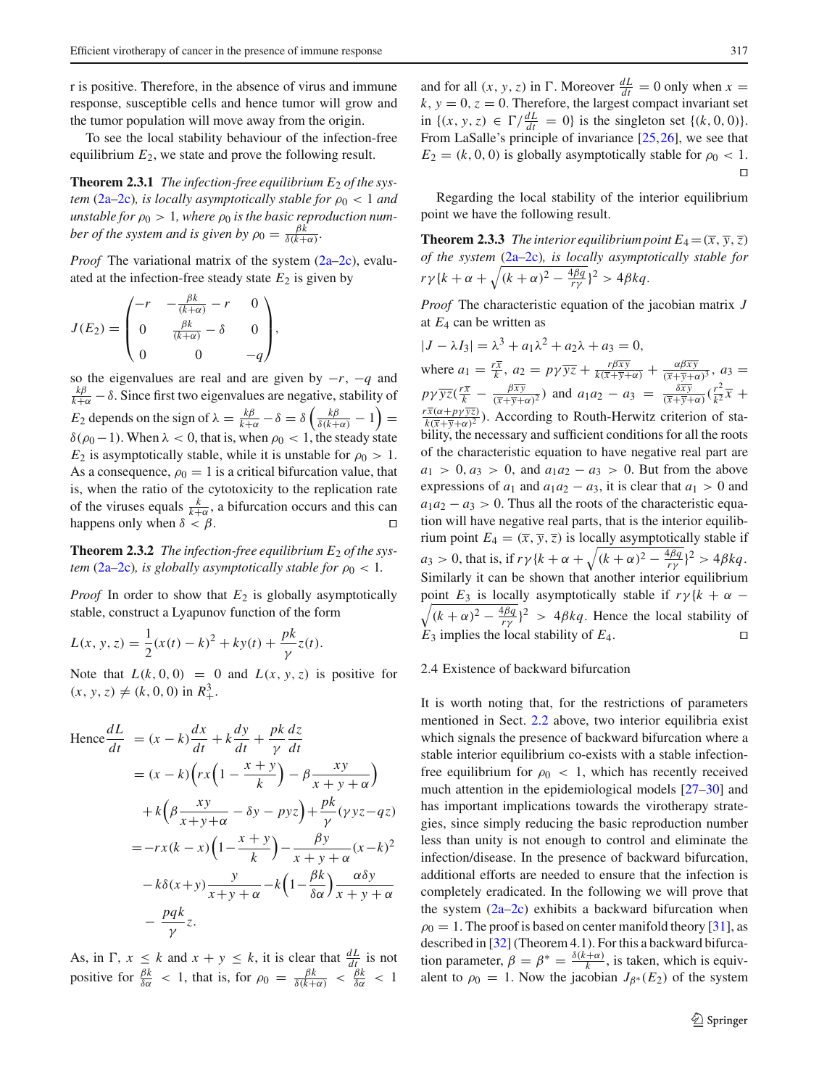r is positive. Therefore, in the absence of virus and immune response, susceptible cells and hence tumor will grow and the tumor population will move away from the origin.

To see the local stability behaviour of the infection-free equilibrium  $E_2$ , we state and prove the following result.

**Theorem 2.3.1** *The infection-free equilibrium E<sub>2</sub> of the system* [\(2a–2c\)](#page-1-2)*, is locally asymptotically stable for*  $\rho_0 < 1$  *and unstable for*  $\rho_0 > 1$ *, where*  $\rho_0$  *is the basic reproduction number of the system and is given by*  $\rho_0 = \frac{\beta \bar{k}}{\delta(k+\alpha)}$ .

*Proof* The variational matrix of the system [\(2a–2c\)](#page-1-2), evaluated at the infection-free steady state  $E_2$  is given by

$$
J(E_2) = \begin{pmatrix} -r & -\frac{\beta k}{(k+\alpha)} - r & 0\\ 0 & \frac{\beta k}{(k+\alpha)} - \delta & 0\\ 0 & 0 & -q \end{pmatrix},
$$

so the eigenvalues are real and are given by −*r*, −*q* and  $\frac{k\beta}{k+\alpha} - \delta$ . Since first two eigenvalues are negative, stability of *E*<sub>2</sub> depends on the sign of  $\lambda = \frac{k\beta}{k+\alpha} - \delta = \delta \left( \frac{k\beta}{\delta(k+\alpha)} - 1 \right) =$ δ( $ρ_0$  – 1). When  $λ < 0$ , that is, when  $ρ_0 < 1$ , the steady state  $E_2$  is asymptotically stable, while it is unstable for  $\rho_0 > 1$ . As a consequence,  $\rho_0 = 1$  is a critical bifurcation value, that is, when the ratio of the cytotoxicity to the replication rate of the viruses equals  $\frac{k}{k+\alpha}$ , a bifurcation occurs and this can happens only when  $\delta < \beta$ .

**Theorem 2.3.2** *The infection-free equilibrium E<sub>2</sub> of the system* [\(2a–2c\)](#page-1-2)*, is globally asymptotically stable for*  $\rho_0 < 1$ *.* 

*Proof* In order to show that  $E_2$  is globally asymptotically stable, construct a Lyapunov function of the form

$$
L(x, y, z) = \frac{1}{2}(x(t) - k)^{2} + ky(t) + \frac{pk}{\gamma}z(t).
$$

Note that  $L(k, 0, 0) = 0$  and  $L(x, y, z)$  is positive for  $(x, y, z) \neq (k, 0, 0)$  in  $R_+^3$ .

Hence 
$$
\frac{dL}{dt} = (x - k)\frac{dx}{dt} + k\frac{dy}{dt} + \frac{pk}{\gamma}\frac{dz}{dt}
$$

$$
= (x - k)\left(rx\left(1 - \frac{x + y}{k}\right) - \beta \frac{xy}{x + y + \alpha}\right)
$$

$$
+ k\left(\beta \frac{xy}{x + y + \alpha} - \delta y - pyz\right) + \frac{pk}{\gamma}(yyz - qz)
$$

$$
= -rx(k - x)\left(1 - \frac{x + y}{k}\right) - \frac{\beta y}{x + y + \alpha}(x - k)^2
$$

$$
- k\delta(x + y)\frac{y}{x + y + \alpha} - k\left(1 - \frac{\beta k}{\delta\alpha}\right)\frac{\alpha\delta y}{x + y + \alpha}
$$

$$
- \frac{pqk}{\gamma}z.
$$

As, in  $\Gamma$ ,  $x \leq k$  and  $x + y \leq k$ , it is clear that  $\frac{dL}{dt}$  is not positive for  $\frac{\beta k}{\delta \alpha} < 1$ , that is, for  $\rho_0 = \frac{\beta k}{\delta (k+\alpha)} < \frac{\beta k}{\delta \alpha} < 1$ 

and for all  $(x, y, z)$  in  $\Gamma$ . Moreover  $\frac{dL}{dt} = 0$  only when  $x =$  $k, y = 0, z = 0$ . Therefore, the largest compact invariant set in {(*x*, *y*, *z*) ∈  $\Gamma / \frac{dL}{dt} = 0$ } is the singleton set {(*k*, 0, 0)}. From LaSalle's principle of invariance [\[25](#page-11-3)[,26](#page-11-4)], we see that  $E_2 = (k, 0, 0)$  is globally asymptotically stable for  $\rho_0 < 1$ .  $\Box$ 

Regarding the local stability of the interior equilibrium point we have the following result.

**Theorem 2.3.3** *The interior equilibrium point*  $E_4 = (\overline{x}, \overline{y}, \overline{z})$ *of the system* [\(2a–2c\)](#page-1-2)*, is locally asymptotically stable for*  $r\gamma\{k+\alpha+\sqrt{(k+\alpha)^2-\frac{4\beta q}{r\gamma}}\}^2 > 4\beta kq.$ 

*Proof* The characteristic equation of the jacobian matrix *J* at *E*<sup>4</sup> can be written as

$$
|J - \lambda I_3| = \lambda^3 + a_1 \lambda^2 + a_2 \lambda + a_3 = 0,
$$
  
where  $a_1 = \frac{r\overline{x}}{k}, a_2 = p\gamma \overline{yz} + \frac{r\beta \overline{xy}}{k(\overline{x} + \overline{y} + \alpha)} + \frac{\alpha \beta \overline{xy}}{(\overline{x} + \overline{y} + \alpha)^3}, a_3 = p\gamma \overline{yz}(\frac{r\overline{x}}{k} - \frac{\beta \overline{xy}}{(\overline{x} + \overline{y} + \alpha)^2})$  and  $a_1 a_2 - a_3 = \frac{\delta \overline{xy}}{(\overline{x} + \overline{y} + \alpha)}(\frac{r^2}{k^2} \overline{x} + \frac{r\overline{x}(\alpha + p\gamma \overline{yz})}{k(\overline{x} + \overline{y} + \alpha)^2})$ . According to Routh-Herwitz criterion of stability, the necessary and sufficient conditions for all the roots of the characteristic equation to have negative real part are  $a_1 > 0, a_3 > 0$ , and  $a_1 a_2 - a_3 > 0$ . But from the above expressions of  $a_1$  and  $a_1 a_2 - a_3 > 0$ . But from the above expressions of  $a_1$  and  $a_1 a_2 - a_3$ , it is clear that  $a_1 > 0$  and  $a_1 a_2 - a_3 > 0$ . Thus all the roots of the characteristic equation will have negative real parts, that is the interior equilibrium point  $E_4 = (\overline{x}, \overline{y}, \overline{z})$  is locally asymptotically stable if  $a_3 > 0$ , that is, if  $r\gamma \{k + \alpha + \sqrt{(k + \alpha)^2 - \frac{4\beta q}{r\gamma}}\}^2 > 4\beta kq$ . Similarly it can be shown that another interior equilibrium point  $E_3$  is locally asymptotically stable if  $r\gamma \{k + \alpha - \sqrt{(k + \alpha)^2 - \frac{4\beta q}{r\gamma}}\}^2 > 4\beta kq$ . Hence the local stability of  $E_3$  implies the local stability of  $E_4$ .

## 2.4 Existence of backward bifurcation

It is worth noting that, for the restrictions of parameters mentioned in Sect. [2.2](#page-2-0) above, two interior equilibria exist which signals the presence of backward bifurcation where a stable interior equilibrium co-exists with a stable infectionfree equilibrium for  $\rho_0 < 1$ , which has recently received much attention in the epidemiological models [\[27](#page-11-5)[–30](#page-11-6)] and has important implications towards the virotherapy strategies, since simply reducing the basic reproduction number less than unity is not enough to control and eliminate the infection/disease. In the presence of backward bifurcation, additional efforts are needed to ensure that the infection is completely eradicated. In the following we will prove that the system  $(2a-2c)$  exhibits a backward bifurcation when  $\rho_0 = 1$ . The proof is based on center manifold theory [\[31](#page-11-7)], as described in [\[32\]](#page-11-8) (Theorem 4.1). For this a backward bifurcation parameter,  $\beta = \beta^* = \frac{\delta(k+\alpha)}{k}$ , is taken, which is equivalent to  $\rho_0 = 1$ . Now the jacobian  $J_{\beta^*}(E_2)$  of the system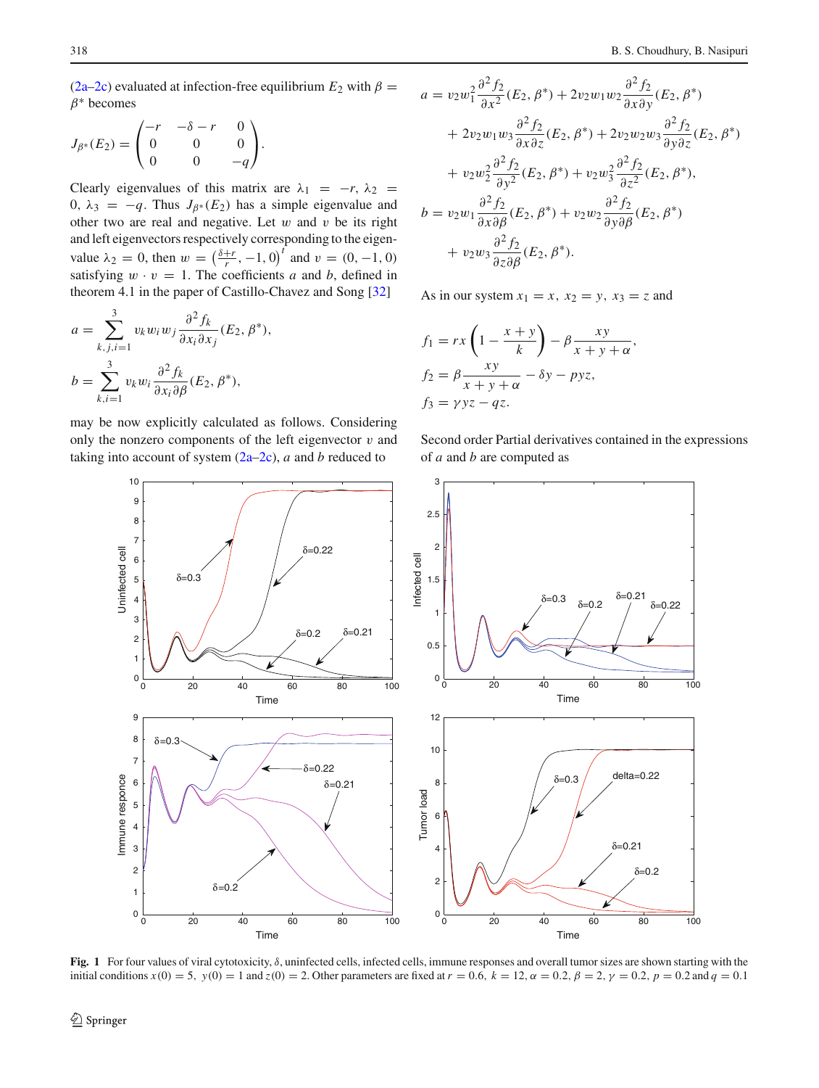[\(2a–2c\)](#page-1-2) evaluated at infection-free equilibrium  $E_2$  with  $\beta =$  $\beta^*$  becomes

$$
J_{\beta^*}(E_2) = \begin{pmatrix} -r & -\delta - r & 0 \\ 0 & 0 & 0 \\ 0 & 0 & -q \end{pmatrix}.
$$

Clearly eigenvalues of this matrix are  $\lambda_1 = -r$ ,  $\lambda_2 =$ 0,  $\lambda_3$  = −*q*. Thus  $J_{\beta^*}(E_2)$  has a simple eigenvalue and other two are real and negative. Let  $w$  and  $v$  be its right and left eigenvectors respectively corresponding to the eigenvalue  $\lambda_2 = 0$ , then  $w = \left(\frac{\delta + r}{r}, -1, 0\right)^t$  and  $v = (0, -1, 0)$ satisfying  $w \cdot v = 1$ . The coefficients *a* and *b*, defined in theorem 4.1 in the paper of Castillo-Chavez and Song [\[32\]](#page-11-8)

$$
a = \sum_{k,j,i=1}^{3} v_k w_i w_j \frac{\partial^2 f_k}{\partial x_i \partial x_j} (E_2, \beta^*),
$$
  

$$
b = \sum_{k,i=1}^{3} v_k w_i \frac{\partial^2 f_k}{\partial x_i \partial \beta} (E_2, \beta^*),
$$

may be now explicitly calculated as follows. Considering only the nonzero components of the left eigenvector  $v$  and taking into account of system [\(2a–2c\)](#page-1-2), *a* and *b* reduced to

$$
a = v_2 w_1^2 \frac{\partial^2 f_2}{\partial x^2} (E_2, \beta^*) + 2v_2 w_1 w_2 \frac{\partial^2 f_2}{\partial x \partial y} (E_2, \beta^*)
$$
  
+ 
$$
2v_2 w_1 w_3 \frac{\partial^2 f_2}{\partial x \partial z} (E_2, \beta^*) + 2v_2 w_2 w_3 \frac{\partial^2 f_2}{\partial y \partial z} (E_2, \beta^*)
$$
  
+ 
$$
v_2 w_2^2 \frac{\partial^2 f_2}{\partial y^2} (E_2, \beta^*) + v_2 w_3^2 \frac{\partial^2 f_2}{\partial z^2} (E_2, \beta^*),
$$
  

$$
b = v_2 w_1 \frac{\partial^2 f_2}{\partial x \partial \beta} (E_2, \beta^*) + v_2 w_2 \frac{\partial^2 f_2}{\partial y \partial \beta} (E_2, \beta^*)
$$
  
+ 
$$
v_2 w_3 \frac{\partial^2 f_2}{\partial z \partial \beta} (E_2, \beta^*).
$$

As in our system  $x_1 = x$ ,  $x_2 = y$ ,  $x_3 = z$  and

$$
f_1 = rx \left(1 - \frac{x + y}{k}\right) - \beta \frac{xy}{x + y + \alpha},
$$
  
\n
$$
f_2 = \beta \frac{xy}{x + y + \alpha} - \delta y - pyz,
$$
  
\n
$$
f_3 = \gamma yz - qz.
$$

Second order Partial derivatives contained in the expressions of *a* and *b* are computed as



<span id="page-4-0"></span>**Fig. 1** For four values of viral cytotoxicity, δ, uninfected cells, infected cells, immune responses and overall tumor sizes are shown starting with the initial conditions  $x(0) = 5$ ,  $y(0) = 1$  and  $z(0) = 2$ . Other parameters are fixed at  $r = 0.6$ ,  $k = 12$ ,  $\alpha = 0.2$ ,  $\beta = 2$ ,  $\gamma = 0.2$ ,  $p = 0.2$  and  $q = 0.1$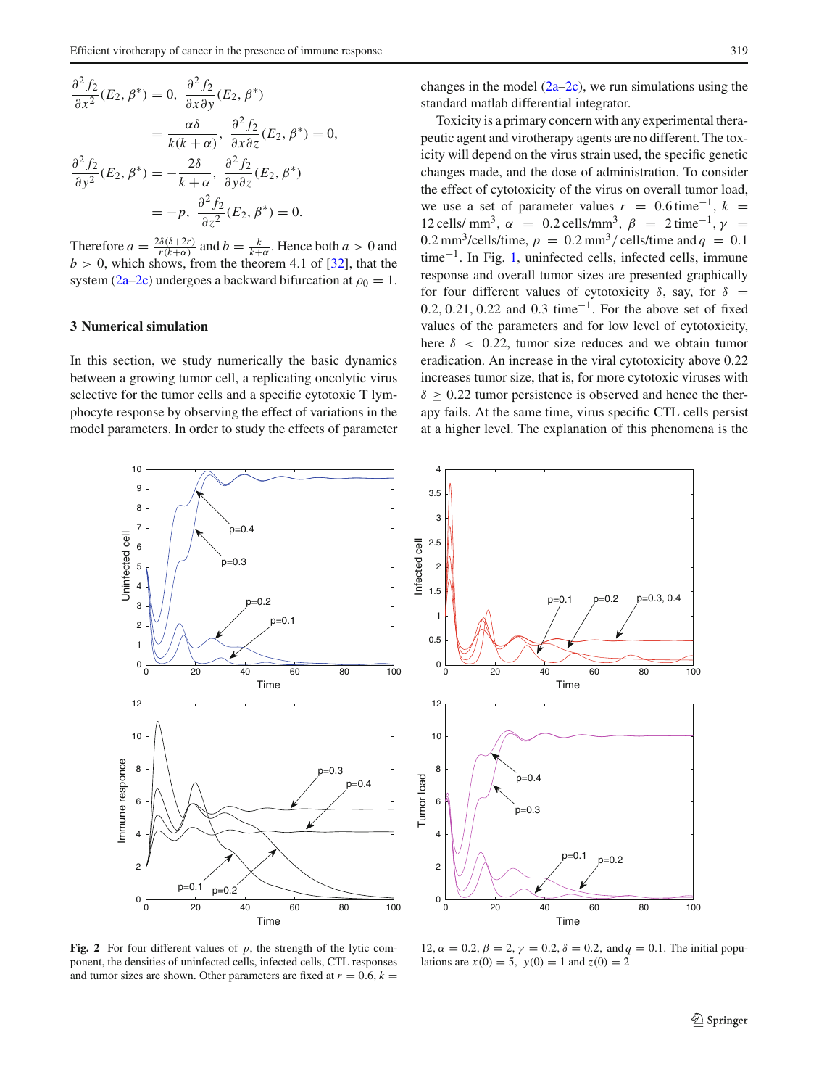$$
\frac{\partial^2 f_2}{\partial x^2}(E_2, \beta^*) = 0, \frac{\partial^2 f_2}{\partial x \partial y}(E_2, \beta^*)
$$

$$
= \frac{\alpha \delta}{k(k+\alpha)}, \frac{\partial^2 f_2}{\partial x \partial z}(E_2, \beta^*) = 0,
$$

$$
\frac{\partial^2 f_2}{\partial y^2}(E_2, \beta^*) = -\frac{2\delta}{k+\alpha}, \frac{\partial^2 f_2}{\partial y \partial z}(E_2, \beta^*)
$$

$$
= -p, \frac{\partial^2 f_2}{\partial z^2}(E_2, \beta^*) = 0.
$$

Therefore  $a = \frac{2\delta(\delta + 2r)}{r(k+\alpha)}$  and  $b = \frac{k}{k+\alpha}$ . Hence both  $a > 0$  and  $b > 0$ , which shows, from the theorem 4.1 of [\[32\]](#page-11-8), that the system [\(2a–2c\)](#page-1-2) undergoes a backward bifurcation at  $\rho_0 = 1$ .

## <span id="page-5-0"></span>**3 Numerical simulation**

In this section, we study numerically the basic dynamics between a growing tumor cell, a replicating oncolytic virus selective for the tumor cells and a specific cytotoxic T lymphocyte response by observing the effect of variations in the model parameters. In order to study the effects of parameter changes in the model  $(2a-2c)$ , we run simulations using the standard matlab differential integrator.

Toxicity is a primary concern with any experimental therapeutic agent and virotherapy agents are no different. The toxicity will depend on the virus strain used, the specific genetic changes made, and the dose of administration. To consider the effect of cytotoxicity of the virus on overall tumor load, we use a set of parameter values  $r = 0.6$  time<sup>-1</sup>,  $k =$ 12 cells/ mm<sup>3</sup>,  $\alpha$  = 0.2 cells/mm<sup>3</sup>,  $\beta$  = 2 time<sup>-1</sup>,  $\gamma$  =  $0.2 \text{ mm}^3/\text{cells/time}, p = 0.2 \text{ mm}^3/\text{cells/time}$  and  $q = 0.1$ time<sup>−</sup>1. In Fig. [1,](#page-4-0) uninfected cells, infected cells, immune response and overall tumor sizes are presented graphically for four different values of cytotoxicity  $\delta$ , say, for  $\delta$  = 0.2, 0.21, 0.22 and 0.3 time<sup>-1</sup>. For the above set of fixed values of the parameters and for low level of cytotoxicity, here  $\delta$  < 0.22, tumor size reduces and we obtain tumor eradication. An increase in the viral cytotoxicity above 0.22 increases tumor size, that is, for more cytotoxic viruses with  $\delta \geq 0.22$  tumor persistence is observed and hence the therapy fails. At the same time, virus specific CTL cells persist at a higher level. The explanation of this phenomena is the





<span id="page-5-1"></span>**Fig. 2** For four different values of *p*, the strength of the lytic component, the densities of uninfected cells, infected cells, CTL responses and tumor sizes are shown. Other parameters are fixed at  $r = 0.6$ ,  $k =$ 

12,  $\alpha = 0.2$ ,  $\beta = 2$ ,  $\gamma = 0.2$ ,  $\delta = 0.2$ , and  $q = 0.1$ . The initial populations are  $x(0) = 5$ ,  $y(0) = 1$  and  $z(0) = 2$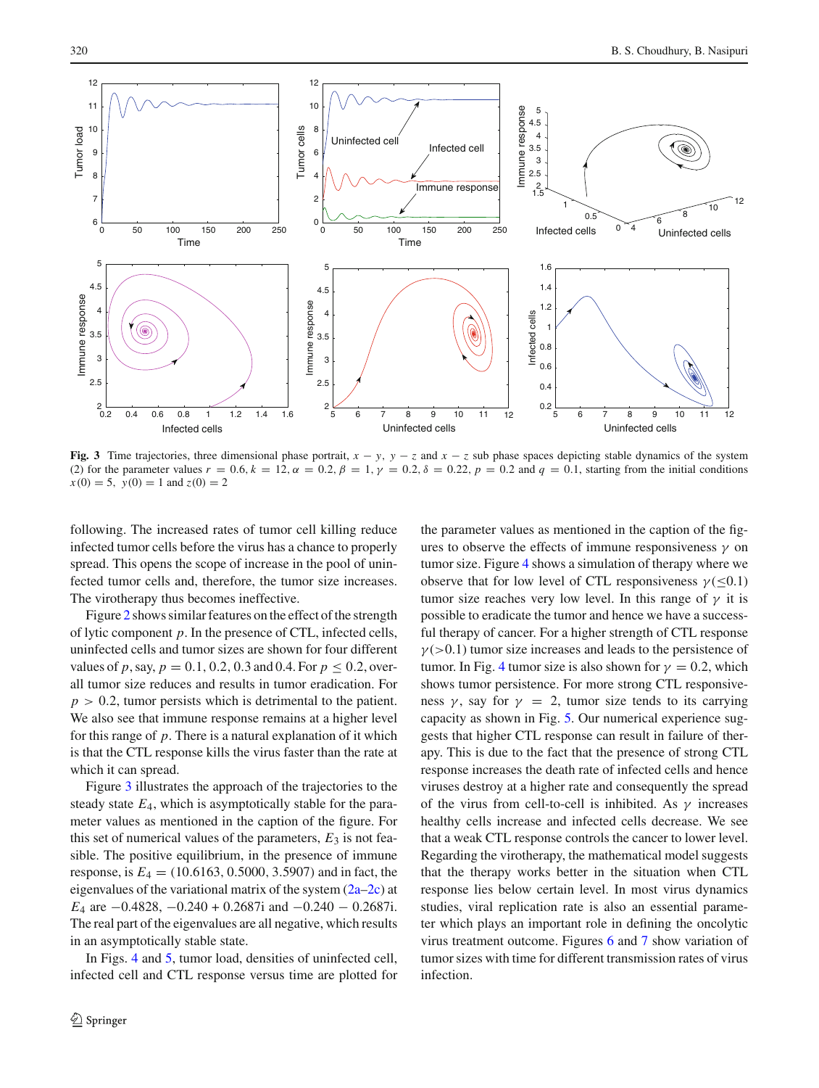

<span id="page-6-0"></span>**Fig. 3** Time trajectories, three dimensional phase portrait,  $x - y$ ,  $y - z$  and  $x - z$  sub phase spaces depicting stable dynamics of the system (2) for the parameter values  $r = 0.6$ ,  $k = 12$ ,  $\alpha = 0.2$ ,  $\beta = 1$ ,  $\gamma = 0.2$ ,  $\delta = 0.2$ ,  $p = 0.2$  and  $q = 0.1$ , starting from the initial conditions  $x(0) = 5$ ,  $y(0) = 1$  and  $z(0) = 2$ 

following. The increased rates of tumor cell killing reduce infected tumor cells before the virus has a chance to properly spread. This opens the scope of increase in the pool of uninfected tumor cells and, therefore, the tumor size increases. The virotherapy thus becomes ineffective.

Figure [2](#page-5-1) shows similar features on the effect of the strength of lytic component *p*. In the presence of CTL, infected cells, uninfected cells and tumor sizes are shown for four different values of *p*, say,  $p = 0.1, 0.2, 0.3$  and 0.4. For  $p \le 0.2$ , overall tumor size reduces and results in tumor eradication. For  $p > 0.2$ , tumor persists which is detrimental to the patient. We also see that immune response remains at a higher level for this range of *p*. There is a natural explanation of it which is that the CTL response kills the virus faster than the rate at which it can spread.

Figure [3](#page-6-0) illustrates the approach of the trajectories to the steady state *E*4, which is asymptotically stable for the parameter values as mentioned in the caption of the figure. For this set of numerical values of the parameters,  $E_3$  is not feasible. The positive equilibrium, in the presence of immune response, is  $E_4 = (10.6163, 0.5000, 3.5907)$  and in fact, the eigenvalues of the variational matrix of the system  $(2a-2c)$  at *E*<sub>4</sub> are −0.4828, −0.240 + 0.2687i and −0.240 − 0.2687i. The real part of the eigenvalues are all negative, which results in an asymptotically stable state.

In Figs. [4](#page-7-0) and [5,](#page-7-1) tumor load, densities of uninfected cell, infected cell and CTL response versus time are plotted for the parameter values as mentioned in the caption of the figures to observe the effects of immune responsiveness  $\gamma$  on tumor size. Figure [4](#page-7-0) shows a simulation of therapy where we observe that for low level of CTL responsiveness  $\gamma(\leq 0.1)$ tumor size reaches very low level. In this range of  $\gamma$  it is possible to eradicate the tumor and hence we have a successful therapy of cancer. For a higher strength of CTL response  $\gamma$ (>0.1) tumor size increases and leads to the persistence of tumor. In Fig. [4](#page-7-0) tumor size is also shown for  $\gamma = 0.2$ , which shows tumor persistence. For more strong CTL responsiveness  $\gamma$ , say for  $\gamma = 2$ , tumor size tends to its carrying capacity as shown in Fig. [5.](#page-7-1) Our numerical experience suggests that higher CTL response can result in failure of therapy. This is due to the fact that the presence of strong CTL response increases the death rate of infected cells and hence viruses destroy at a higher rate and consequently the spread of the virus from cell-to-cell is inhibited. As  $\gamma$  increases healthy cells increase and infected cells decrease. We see that a weak CTL response controls the cancer to lower level. Regarding the virotherapy, the mathematical model suggests that the therapy works better in the situation when CTL response lies below certain level. In most virus dynamics studies, viral replication rate is also an essential parameter which plays an important role in defining the oncolytic virus treatment outcome. Figures [6](#page-8-0) and [7](#page-8-1) show variation of tumor sizes with time for different transmission rates of virus infection.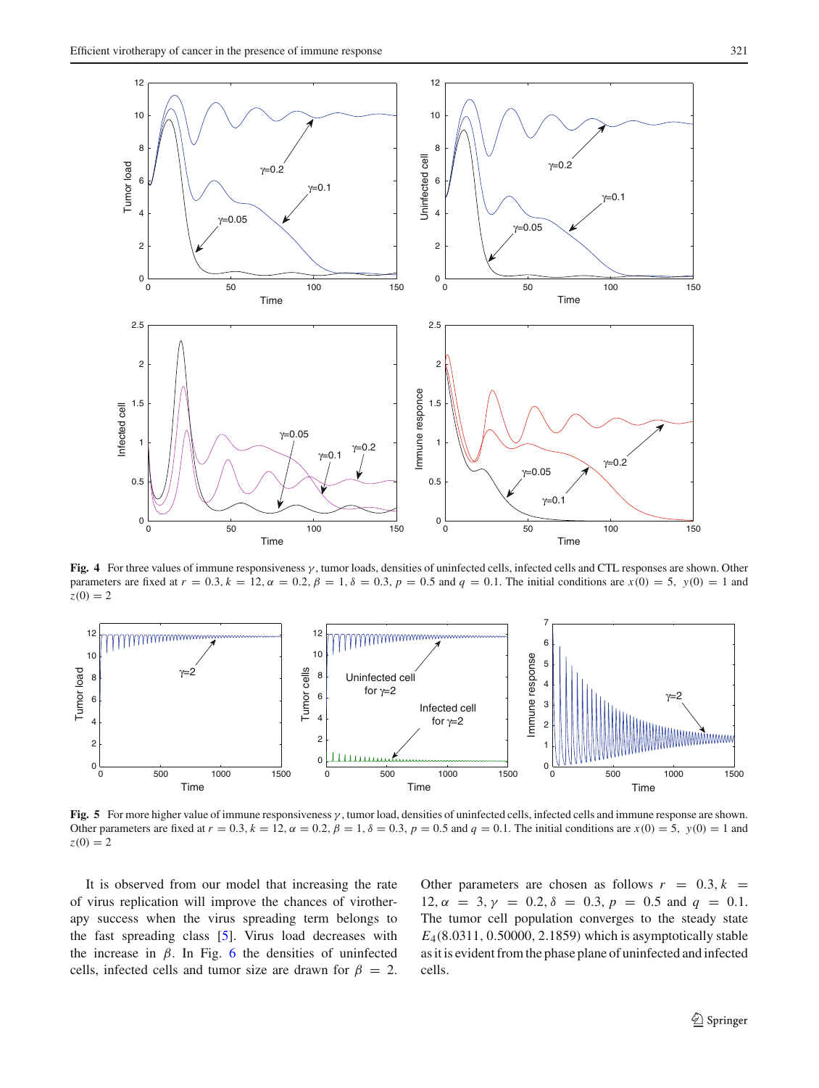

<span id="page-7-0"></span>**Fig. 4** For three values of immune responsiveness γ , tumor loads, densities of uninfected cells, infected cells and CTL responses are shown. Other parameters are fixed at  $r = 0.3$ ,  $k = 12$ ,  $\alpha = 0.2$ ,  $\beta = 1$ ,  $\delta = 0.3$ ,  $p = 0.5$  and  $q = 0.1$ . The initial conditions are  $x(0) = 5$ ,  $y(0) = 1$  and  $z(0) = 2$ 



<span id="page-7-1"></span>**Fig. 5** For more higher value of immune responsiveness γ , tumor load, densities of uninfected cells, infected cells and immune response are shown. Other parameters are fixed at  $r = 0.3$ ,  $k = 12$ ,  $\alpha = 0.2$ ,  $\beta = 1$ ,  $\delta = 0.3$ ,  $p = 0.5$  and  $q = 0.1$ . The initial conditions are  $x(0) = 5$ ,  $y(0) = 1$  and  $z(0) = 2$ 

It is observed from our model that increasing the rate of virus replication will improve the chances of virotherapy success when the virus spreading term belongs to the fast spreading class [\[5](#page-10-5)]. Virus load decreases with the increase in  $\beta$ . In Fig. [6](#page-8-0) the densities of uninfected cells, infected cells and tumor size are drawn for  $\beta = 2$ . Other parameters are chosen as follows  $r = 0.3, k = 1$  $12, \alpha = 3, \gamma = 0.2, \delta = 0.3, p = 0.5 \text{ and } q = 0.1.$ The tumor cell population converges to the steady state *E*4(8.0311, 0.50000, 2.1859) which is asymptotically stable as it is evident from the phase plane of uninfected and infected cells.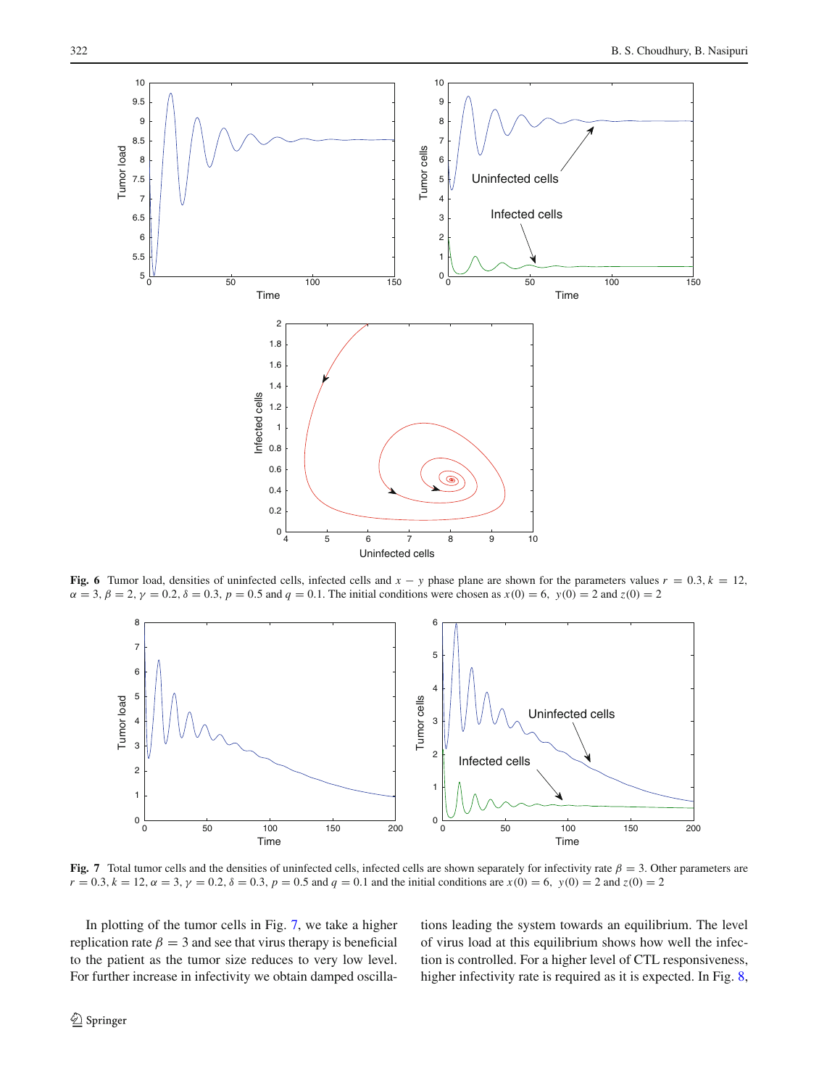

<span id="page-8-0"></span>**Fig. 6** Tumor load, densities of uninfected cells, infected cells and  $x - y$  phase plane are shown for the parameters values  $r = 0.3$ ,  $k = 12$ ,  $\alpha = 3, \beta = 2, \gamma = 0.2, \delta = 0.3, p = 0.5$  and  $q = 0.1$ . The initial conditions were chosen as  $x(0) = 6, y(0) = 2$  and  $z(0) = 2$ 



<span id="page-8-1"></span>**Fig. 7** Total tumor cells and the densities of uninfected cells, infected cells are shown separately for infectivity rate  $\beta = 3$ . Other parameters are  $r = 0.3$ ,  $k = 12$ ,  $\alpha = 3$ ,  $\gamma = 0.2$ ,  $\delta = 0.3$ ,  $p = 0.5$  and  $q = 0.1$  and the initial conditions are  $x(0) = 6$ ,  $y(0) = 2$  and  $z(0) = 2$ 

In plotting of the tumor cells in Fig. [7,](#page-8-1) we take a higher replication rate  $\beta = 3$  and see that virus therapy is beneficial to the patient as the tumor size reduces to very low level. For further increase in infectivity we obtain damped oscillations leading the system towards an equilibrium. The level of virus load at this equilibrium shows how well the infection is controlled. For a higher level of CTL responsiveness, higher infectivity rate is required as it is expected. In Fig. [8,](#page-9-1)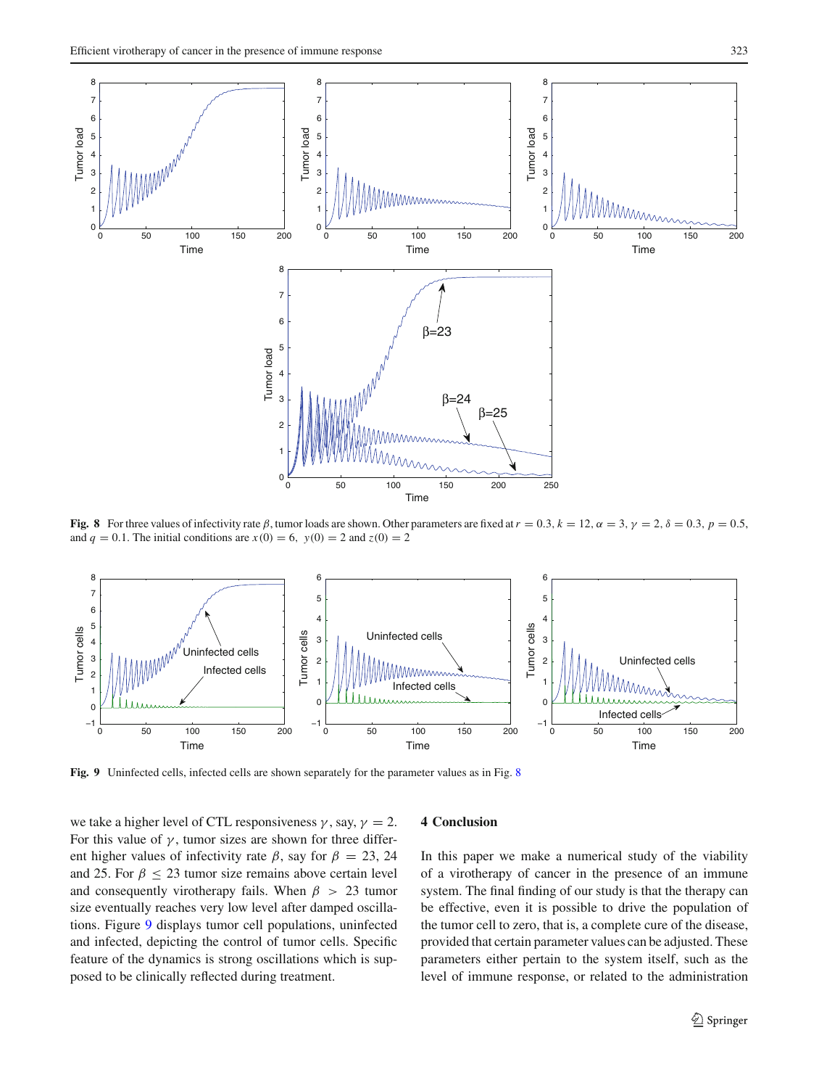

**Fig. 8** For three values of infectivity rate  $\beta$ , tumor loads are shown. Other parameters are fixed at  $r = 0.3$ ,  $k = 12$ ,  $\alpha = 3$ ,  $\gamma = 2$ ,  $\delta = 0.3$ ,  $p = 0.5$ , and  $q = 0.1$ . The initial conditions are  $x(0) = 6$ ,  $y(0) = 2$  and  $z(0) = 2$ 

<span id="page-9-1"></span>

<span id="page-9-2"></span>**Fig. 9** Uninfected cells, infected cells are shown separately for the parameter values as in Fig. [8](#page-9-1)

we take a higher level of CTL responsiveness  $\gamma$ , say,  $\gamma = 2$ . For this value of  $\gamma$ , tumor sizes are shown for three different higher values of infectivity rate  $\beta$ , say for  $\beta = 23, 24$ and 25. For  $\beta \leq 23$  tumor size remains above certain level and consequently virotherapy fails. When  $\beta > 23$  tumor size eventually reaches very low level after damped oscillations. Figure [9](#page-9-2) displays tumor cell populations, uninfected and infected, depicting the control of tumor cells. Specific feature of the dynamics is strong oscillations which is supposed to be clinically reflected during treatment.

#### <span id="page-9-0"></span>**4 Conclusion**

In this paper we make a numerical study of the viability of a virotherapy of cancer in the presence of an immune system. The final finding of our study is that the therapy can be effective, even it is possible to drive the population of the tumor cell to zero, that is, a complete cure of the disease, provided that certain parameter values can be adjusted. These parameters either pertain to the system itself, such as the level of immune response, or related to the administration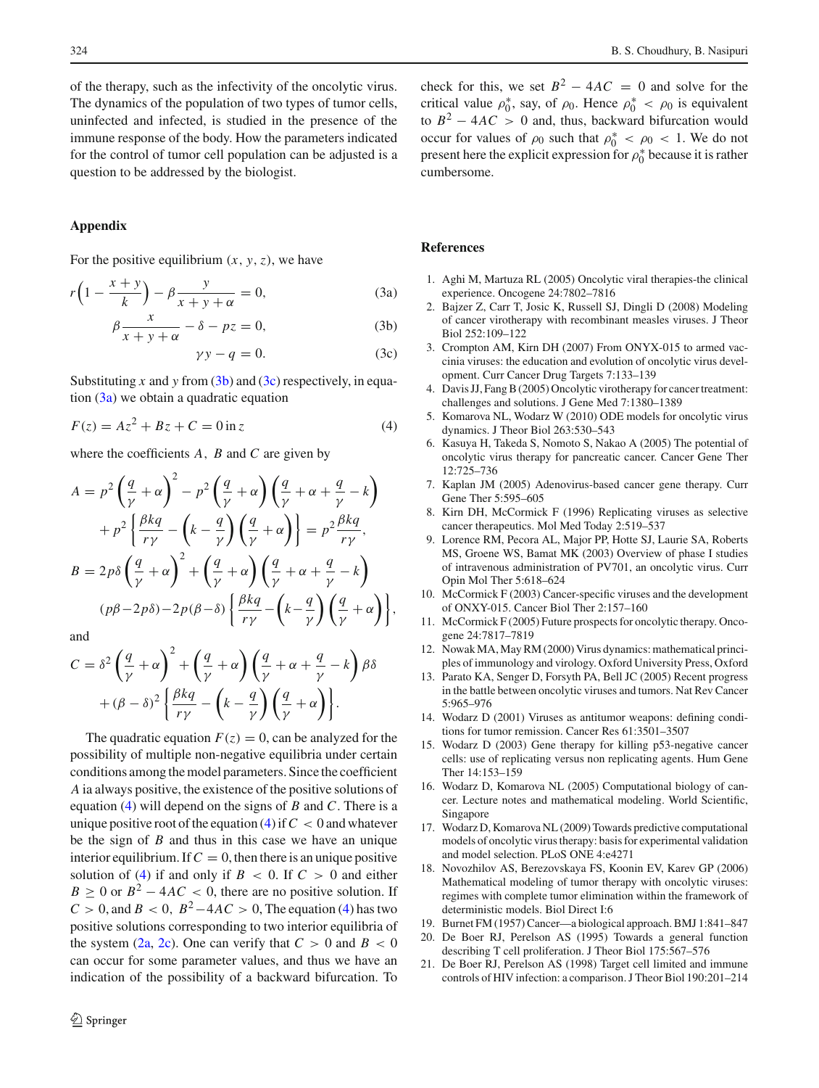of the therapy, such as the infectivity of the oncolytic virus. The dynamics of the population of two types of tumor cells, uninfected and infected, is studied in the presence of the immune response of the body. How the parameters indicated for the control of tumor cell population can be adjusted is a question to be addressed by the biologist.

# **Appendix**

For the positive equilibrium  $(x, y, z)$ , we have

<span id="page-10-6"></span>
$$
r\left(1 - \frac{x+y}{k}\right) - \beta \frac{y}{x+y+\alpha} = 0,\tag{3a}
$$

$$
\beta \frac{x}{x+y+\alpha} - \delta - pz = 0,\t(3b)
$$

$$
\gamma y - q = 0. \tag{3c}
$$

Substituting *x* and *y* from [\(3b\)](#page-10-6) and [\(3c\)](#page-10-6) respectively, in equation  $(3a)$  we obtain a quadratic equation

<span id="page-10-7"></span>
$$
F(z) = Az^{2} + Bz + C = 0 \text{ in } z
$$
 (4)

where the coefficients *A*, *B* and *C* are given by

$$
A = p^2 \left(\frac{q}{\gamma} + \alpha\right)^2 - p^2 \left(\frac{q}{\gamma} + \alpha\right) \left(\frac{q}{\gamma} + \alpha + \frac{q}{\gamma} - k\right)
$$
  
+ 
$$
p^2 \left\{\frac{\beta k q}{r\gamma} - \left(k - \frac{q}{\gamma}\right) \left(\frac{q}{\gamma} + \alpha\right)\right\} = p^2 \frac{\beta k q}{r\gamma},
$$
  

$$
B = 2p\delta \left(\frac{q}{\gamma} + \alpha\right)^2 + \left(\frac{q}{\gamma} + \alpha\right) \left(\frac{q}{\gamma} + \alpha + \frac{q}{\gamma} - k\right)
$$
  

$$
(p\beta - 2p\delta) - 2p(\beta - \delta) \left\{\frac{\beta k q}{r\gamma} - \left(k - \frac{q}{\gamma}\right) \left(\frac{q}{\gamma} + \alpha\right)\right\},
$$

and

$$
C = \delta^2 \left(\frac{q}{\gamma} + \alpha\right)^2 + \left(\frac{q}{\gamma} + \alpha\right) \left(\frac{q}{\gamma} + \alpha + \frac{q}{\gamma} - k\right) \beta \delta
$$

$$
+ (\beta - \delta)^2 \left\{\frac{\beta kq}{r\gamma} - \left(k - \frac{q}{\gamma}\right) \left(\frac{q}{\gamma} + \alpha\right)\right\}.
$$

The quadratic equation  $F(z) = 0$ , can be analyzed for the possibility of multiple non-negative equilibria under certain conditions among the model parameters. Since the coefficient *A* ia always positive, the existence of the positive solutions of equation [\(4\)](#page-10-7) will depend on the signs of *B* and *C*. There is a unique positive root of the equation  $(4)$  if  $C < 0$  and whatever be the sign of *B* and thus in this case we have an unique interior equilibrium. If  $C = 0$ , then there is an unique positive solution of [\(4\)](#page-10-7) if and only if  $B < 0$ . If  $C > 0$  and either  $B \ge 0$  or  $B^2 - 4AC < 0$ , there are no positive solution. If  $C > 0$ , and  $B < 0$ ,  $B^2 - 4AC > 0$ , The equation [\(4\)](#page-10-7) has two positive solutions corresponding to two interior equilibria of the system  $(2a, 2c)$  $(2a, 2c)$  $(2a, 2c)$ . One can verify that  $C > 0$  and  $B < 0$ can occur for some parameter values, and thus we have an indication of the possibility of a backward bifurcation. To check for this, we set  $B^2 - 4AC = 0$  and solve for the critical value  $\rho_0^*$ , say, of  $\rho_0$ . Hence  $\rho_0^* < \rho_0$  is equivalent to  $B^2 - 4AC > 0$  and, thus, backward bifurcation would occur for values of  $\rho_0$  such that  $\rho_0^* < \rho_0 < 1$ . We do not present here the explicit expression for  $\rho_0^*$  because it is rather cumbersome.

#### <span id="page-10-0"></span>**References**

- 1. Aghi M, Martuza RL (2005) Oncolytic viral therapies-the clinical experience. Oncogene 24:7802–7816
- 2. Bajzer Z, Carr T, Josic K, Russell SJ, Dingli D (2008) Modeling of cancer virotherapy with recombinant measles viruses. J Theor Biol 252:109–122
- 3. Crompton AM, Kirn DH (2007) From ONYX-015 to armed vaccinia viruses: the education and evolution of oncolytic virus development. Curr Cancer Drug Targets 7:133–139
- 4. Davis JJ, Fang B (2005) Oncolytic virotherapy for cancer treatment: challenges and solutions. J Gene Med 7:1380–1389
- <span id="page-10-5"></span>5. Komarova NL, Wodarz W (2010) ODE models for oncolytic virus dynamics. J Theor Biol 263:530–543
- 6. Kasuya H, Takeda S, Nomoto S, Nakao A (2005) The potential of oncolytic virus therapy for pancreatic cancer. Cancer Gene Ther 12:725–736
- 7. Kaplan JM (2005) Adenovirus-based cancer gene therapy. Curr Gene Ther 5:595–605
- 8. Kirn DH, McCormick F (1996) Replicating viruses as selective cancer therapeutics. Mol Med Today 2:519–537
- 9. Lorence RM, Pecora AL, Major PP, Hotte SJ, Laurie SA, Roberts MS, Groene WS, Bamat MK (2003) Overview of phase I studies of intravenous administration of PV701, an oncolytic virus. Curr Opin Mol Ther 5:618–624
- 10. McCormick F (2003) Cancer-specific viruses and the development of ONXY-015. Cancer Biol Ther 2:157–160
- 11. McCormick F (2005) Future prospects for oncolytic therapy. Oncogene 24:7817–7819
- <span id="page-10-4"></span>12. Nowak MA, May RM (2000) Virus dynamics: mathematical principles of immunology and virology. Oxford University Press, Oxford
- 13. Parato KA, Senger D, Forsyth PA, Bell JC (2005) Recent progress in the battle between oncolytic viruses and tumors. Nat Rev Cancer 5:965–976
- 14. Wodarz D (2001) Viruses as antitumor weapons: defining conditions for tumor remission. Cancer Res 61:3501–3507
- 15. Wodarz D (2003) Gene therapy for killing p53-negative cancer cells: use of replicating versus non replicating agents. Hum Gene Ther 14:153–159
- 16. Wodarz D, Komarova NL (2005) Computational biology of cancer. Lecture notes and mathematical modeling. World Scientific, Singapore
- 17. Wodarz D, Komarova NL (2009) Towards predictive computational models of oncolytic virus therapy: basis for experimental validation and model selection. PLoS ONE 4:e4271
- <span id="page-10-1"></span>18. Novozhilov AS, Berezovskaya FS, Koonin EV, Karev GP (2006) Mathematical modeling of tumor therapy with oncolytic viruses: regimes with complete tumor elimination within the framework of deterministic models. Biol Direct I:6
- <span id="page-10-3"></span><span id="page-10-2"></span>19. Burnet FM (1957) Cancer—a biological approach. BMJ 1:841–847
- 20. De Boer RJ, Perelson AS (1995) Towards a general function describing T cell proliferation. J Theor Biol 175:567–576
- 21. De Boer RJ, Perelson AS (1998) Target cell limited and immune controls of HIV infection: a comparison. J Theor Biol 190:201–214